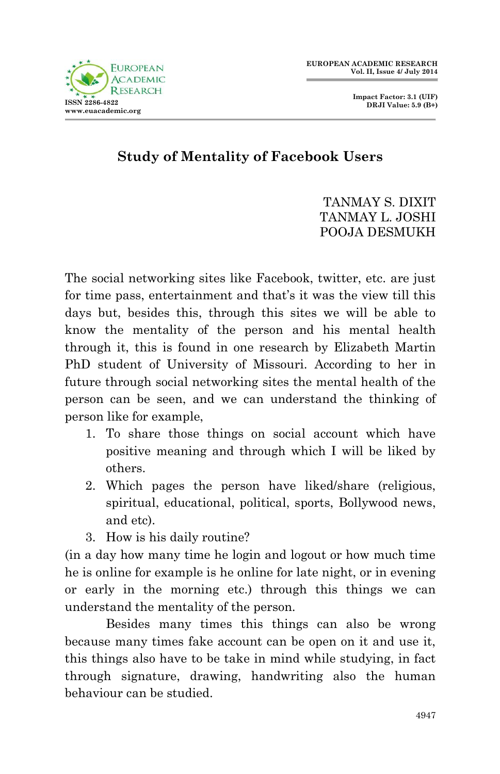

 **Impact Factor: 3.1 (UIF) DRJI Value: 5.9 (B+)**

## **Study of Mentality of Facebook Users**

## TANMAY S. DIXIT TANMAY L. JOSHI POOJA DESMUKH

The social networking sites like Facebook, twitter, etc. are just for time pass, entertainment and that's it was the view till this days but, besides this, through this sites we will be able to know the mentality of the person and his mental health through it, this is found in one research by Elizabeth Martin PhD student of University of Missouri. According to her in future through social networking sites the mental health of the person can be seen, and we can understand the thinking of person like for example,

- 1. To share those things on social account which have positive meaning and through which I will be liked by others.
- 2. Which pages the person have liked/share (religious, spiritual, educational, political, sports, Bollywood news, and etc).
- 3. How is his daily routine?

(in a day how many time he login and logout or how much time he is online for example is he online for late night, or in evening or early in the morning etc.) through this things we can understand the mentality of the person.

Besides many times this things can also be wrong because many times fake account can be open on it and use it, this things also have to be take in mind while studying, in fact through signature, drawing, handwriting also the human behaviour can be studied.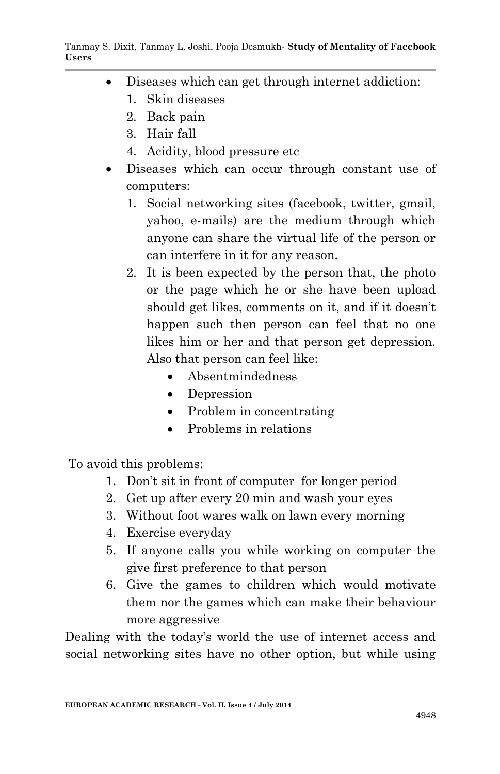- Diseases which can get through internet addiction:
	- 1. Skin diseases
	- 2. Back pain
	- 3. Hair fall
	- 4. Acidity, blood pressure etc
- Diseases which can occur through constant use of computers:
	- 1. Social networking sites (facebook, twitter, gmail, yahoo, e-mails) are the medium through which anyone can share the virtual life of the person or can interfere in it for any reason.
	- 2. It is been expected by the person that, the photo or the page which he or she have been upload should get likes, comments on it, and if it doesn't happen such then person can feel that no one likes him or her and that person get depression. Also that person can feel like:
		- Absentmindedness
		- Depression
		- Problem in concentrating
		- Problems in relations

To avoid this problems:

- 1. Don't sit in front of computer for longer period
- 2. Get up after every 20 min and wash your eyes
- 3. Without foot wares walk on lawn every morning
- 4. Exercise everyday
- 5. If anyone calls you while working on computer the give first preference to that person
- 6. Give the games to children which would motivate them nor the games which can make their behaviour more aggressive

Dealing with the today's world the use of internet access and social networking sites have no other option, but while using